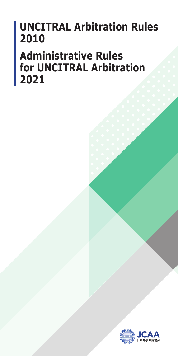# **UNCITRAL Arbitration Rules 2010 Administrative Rules**

**for UNCITRAL Arbitration 2021**

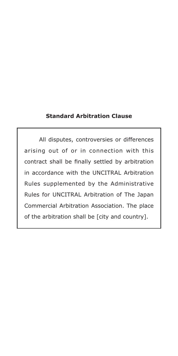# **Standard Arbitration Clause**

 All disputes, controversies or differences arising out of or in connection with this contract shall be finally settled by arbitration in accordance with the UNCITRAL Arbitration Rules supplemented by the Administrative Rules for UNCITRAL Arbitration of The Japan Commercial Arbitration Association. The place of the arbitration shall be [city and country].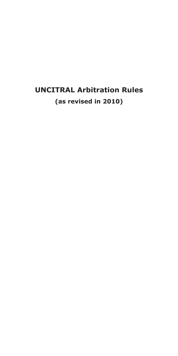# **UNCITRAL Arbitration Rules (as revised in 2010)**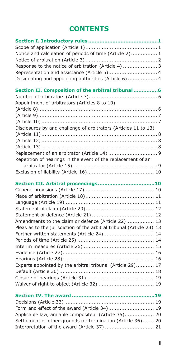# **CONTENTS**

| Notice and calculation of periods of time (Article 2) 1               |  |
|-----------------------------------------------------------------------|--|
|                                                                       |  |
| Response to the notice of arbitration (Article 4)  3                  |  |
| Representation and assistance (Article 5) 4                           |  |
| Designating and appointing authorities (Article 6)  4                 |  |
|                                                                       |  |
| Section II. Composition of the arbitral tribunal 6                    |  |
|                                                                       |  |
| Appointment of arbitrators (Articles 8 to 10)                         |  |
|                                                                       |  |
|                                                                       |  |
|                                                                       |  |
| Disclosures by and challenge of arbitrators (Articles 11 to 13)       |  |
|                                                                       |  |
|                                                                       |  |
|                                                                       |  |
| Replacement of an arbitrator (Article 14)  9                          |  |
| Repetition of hearings in the event of the replacement of an          |  |
|                                                                       |  |
|                                                                       |  |
|                                                                       |  |
|                                                                       |  |
|                                                                       |  |
|                                                                       |  |
|                                                                       |  |
|                                                                       |  |
|                                                                       |  |
| Amendments to the claim or defence (Article 22) 13                    |  |
| Pleas as to the jurisdiction of the arbitral tribunal (Article 23) 13 |  |
| Further written statements (Article 24) 14                            |  |
|                                                                       |  |
|                                                                       |  |
|                                                                       |  |
|                                                                       |  |
| Experts appointed by the arbitral tribunal (Article 29) 17            |  |
|                                                                       |  |
|                                                                       |  |
| Waiver of right to object (Article 32)  19                            |  |
|                                                                       |  |
|                                                                       |  |
|                                                                       |  |
| Form and effect of the award (Article 34) 19                          |  |
| Applicable law, amiable compositeur (Article 35) 20                   |  |
| Settlement or other grounds for termination (Article 36) 20           |  |
|                                                                       |  |
| Interpretation of the award (Article 37)  21                          |  |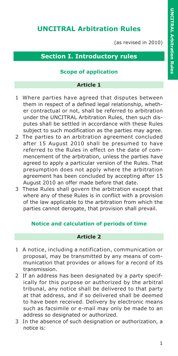# <span id="page-6-0"></span>**UNCITRAL Arbitration Rules**

(as revised in 2010)

# **Section I. Introductory rules**

# **Scope of application**

#### **Article 1**

- 1 Where parties have agreed that disputes between them in respect of a defined legal relationship, whether contractual or not, shall be referred to arbitration under the UNCITRAL Arbitration Rules, then such disputes shall be settled in accordance with these Rules subject to such modification as the parties may agree.
- 2 The parties to an arbitration agreement concluded after 15 August 2010 shall be presumed to have referred to the Rules in effect on the date of commencement of the arbitration, unless the parties have agreed to apply a particular version of the Rules. That presumption does not apply where the arbitration agreement has been concluded by accepting after 15 August 2010 an offer made before that date.
- 3 These Rules shall govern the arbitration except that where any of these Rules is in conflict with a provision of the law applicable to the arbitration from which the parties cannot derogate, that provision shall prevail.

#### **Notice and calculation of periods of time**

- 1 A notice, including a notification, communication or proposal, may be transmitted by any means of communication that provides or allows for a record of its transmission.
- 2 If an address has been designated by a party specifically for this purpose or authorized by the arbitral tribunal, any notice shall be delivered to that party at that address, and if so delivered shall be deemed to have been received. Delivery by electronic means such as facsimile or e-mail may only be made to an address so designated or authorized.
- 3 In the absence of such designation or authorization, a notice is: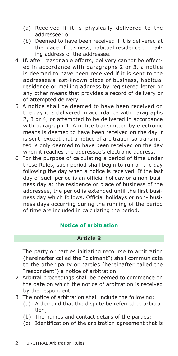- <span id="page-7-0"></span>(a) Received if it is physically delivered to the addressee; or
- (b) Deemed to have been received if it is delivered at the place of business, habitual residence or mailing address of the addressee.
- 4 If, after reasonable efforts, delivery cannot be effected in accordance with paragraphs 2 or 3, a notice is deemed to have been received if it is sent to the addressee's last-known place of business, habitual residence or mailing address by registered letter or any other means that provides a record of delivery or of attempted delivery.
- 5 A notice shall be deemed to have been received on the day it is delivered in accordance with paragraphs 2, 3 or 4, or attempted to be delivered in accordance with paragraph 4. A notice transmitted by electronic means is deemed to have been received on the day it is sent, except that a notice of arbitration so transmitted is only deemed to have been received on the day when it reaches the addressee's electronic address.
- 6 For the purpose of calculating a period of time under these Rules, such period shall begin to run on the day following the day when a notice is received. If the last day of such period is an official holiday or a non-business day at the residence or place of business of the addressee, the period is extended until the first business day which follows. Official holidays or non- business days occurring during the running of the period of time are included in calculating the period.

# **Notice of arbitration**

- 1 The party or parties initiating recourse to arbitration (hereinafter called the "claimant") shall communicate to the other party or parties (hereinafter called the "respondent") a notice of arbitration.
- 2 Arbitral proceedings shall be deemed to commence on the date on which the notice of arbitration is received by the respondent.
- 3 The notice of arbitration shall include the following:
	- (a) A demand that the dispute be referred to arbitration;
	- (b) The names and contact details of the parties;
	- (c) Identification of the arbitration agreement that is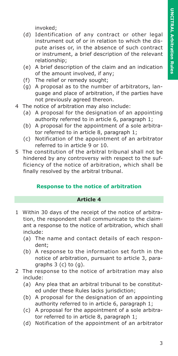invoked;

- <span id="page-8-0"></span>(d) Identification of any contract or other legal instrument out of or in relation to which the dispute arises or, in the absence of such contract or instrument, a brief description of the relevant relationship;
- (e) A brief description of the claim and an indication of the amount involved, if any;
- (f) The relief or remedy sought;
- (g) A proposal as to the number of arbitrators, language and place of arbitration, if the parties have not previously agreed thereon.
- 4 The notice of arbitration may also include:
	- (a) A proposal for the designation of an appointing authority referred to in article 6, paragraph 1;
	- (b) A proposal for the appointment of a sole arbitrator referred to in article 8, paragraph 1;
	- (c) Notification of the appointment of an arbitrator referred to in article 9 or 10.
- 5 The constitution of the arbitral tribunal shall not be hindered by any controversy with respect to the sufficiency of the notice of arbitration, which shall be finally resolved by the arbitral tribunal.

# **Response to the notice of arbitration**

- 1 Within 30 days of the receipt of the notice of arbitration, the respondent shall communicate to the claimant a response to the notice of arbitration, which shall include:
	- (a) The name and contact details of each respondent;
	- (b) A response to the information set forth in the notice of arbitration, pursuant to article 3, paragraphs  $3$  (c) to  $(a)$ .
- 2 The response to the notice of arbitration may also include:
	- (a) Any plea that an arbitral tribunal to be constituted under these Rules lacks jurisdiction;
	- (b) A proposal for the designation of an appointing authority referred to in article 6, paragraph 1;
	- (c) A proposal for the appointment of a sole arbitrator referred to in article 8, paragraph 1;
	- (d) Notification of the appointment of an arbitrator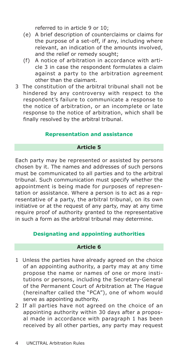referred to in article 9 or 10;

- <span id="page-9-0"></span>(e) A brief description of counterclaims or claims for the purpose of a set-off, if any, including where relevant, an indication of the amounts involved, and the relief or remedy sought;
- (f) A notice of arbitration in accordance with article 3 in case the respondent formulates a claim against a party to the arbitration agreement other than the claimant.
- 3 The constitution of the arbitral tribunal shall not be hindered by any controversy with respect to the respondent's failure to communicate a response to the notice of arbitration, or an incomplete or late response to the notice of arbitration, which shall be finally resolved by the arbitral tribunal.

# **Representation and assistance**

#### **Article 5**

Each party may be represented or assisted by persons chosen by it. The names and addresses of such persons must be communicated to all parties and to the arbitral tribunal. Such communication must specify whether the appointment is being made for purposes of representation or assistance. Where a person is to act as a representative of a party, the arbitral tribunal, on its own initiative or at the request of any party, may at any time require proof of authority granted to the representative in such a form as the arbitral tribunal may determine.

# **Designating and appointing authorities**

- 1 Unless the parties have already agreed on the choice of an appointing authority, a party may at any time propose the name or names of one or more institutions or persons, including the Secretary-General of the Permanent Court of Arbitration at The Hague (hereinafter called the "PCA"), one of whom would serve as appointing authority.
- 2 If all parties have not agreed on the choice of an appointing authority within 30 days after a proposal made in accordance with paragraph 1 has been received by all other parties, any party may request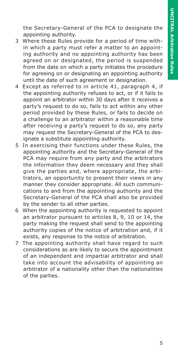the Secretary-General of the PCA to designate the appointing authority.

- 3 Where these Rules provide for a period of time within which a party must refer a matter to an appointing authority and no appointing authority has been agreed on or designated, the period is suspended from the date on which a party initiates the procedure for agreeing on or designating an appointing authority until the date of such agreement or designation.
- 4 Except as referred to in article 41, paragraph 4, if the appointing authority refuses to act, or if it fails to appoint an arbitrator within 30 days after it receives a party's request to do so, fails to act within any other period provided by these Rules, or fails to decide on a challenge to an arbitrator within a reasonable time after receiving a party's request to do so, any party may request the Secretary-General of the PCA to designate a substitute appointing authority.
- 5 In exercising their functions under these Rules, the appointing authority and the Secretary-General of the PCA may require from any party and the arbitrators the information they deem necessary and they shall give the parties and, where appropriate, the arbitrators, an opportunity to present their views in any manner they consider appropriate. All such communications to and from the appointing authority and the Secretary-General of the PCA shall also be provided by the sender to all other parties.
- 6 When the appointing authority is requested to appoint an arbitrator pursuant to articles 8, 9, 10 or 14, the party making the request shall send to the appointing authority copies of the notice of arbitration and, if it exists, any response to the notice of arbitration.
- 7 The appointing authority shall have regard to such considerations as are likely to secure the appointment of an independent and impartial arbitrator and shall take into account the advisability of appointing an arbitrator of a nationality other than the nationalities of the parties.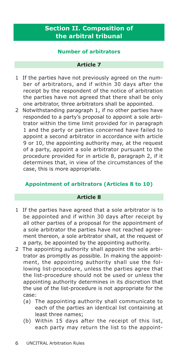# <span id="page-11-0"></span>**Section II. Composition of the arbitral tribunal**

#### **Number of arbitrators**

#### **Article 7**

- 1 If the parties have not previously agreed on the number of arbitrators, and if within 30 days after the receipt by the respondent of the notice of arbitration the parties have not agreed that there shall be only one arbitrator, three arbitrators shall be appointed.
- 2 Notwithstanding paragraph 1, if no other parties have responded to a party's proposal to appoint a sole arbitrator within the time limit provided for in paragraph 1 and the party or parties concerned have failed to appoint a second arbitrator in accordance with article 9 or 10, the appointing authority may, at the request of a party, appoint a sole arbitrator pursuant to the procedure provided for in article 8, paragraph 2, if it determines that, in view of the circumstances of the case, this is more appropriate.

#### **Appointment of arbitrators (Articles 8 to 10)**

- 1 If the parties have agreed that a sole arbitrator is to be appointed and if within 30 days after receipt by all other parties of a proposal for the appointment of a sole arbitrator the parties have not reached agreement thereon, a sole arbitrator shall, at the request of a party, be appointed by the appointing authority.
- 2 The appointing authority shall appoint the sole arbitrator as promptly as possible. In making the appointment, the appointing authority shall use the following list-procedure, unless the parties agree that the list-procedure should not be used or unless the appointing authority determines in its discretion that the use of the list-procedure is not appropriate for the case:
	- (a) The appointing authority shall communicate to each of the parties an identical list containing at least three names;
	- (b) Within 15 days after the receipt of this list, each party may return the list to the appoint-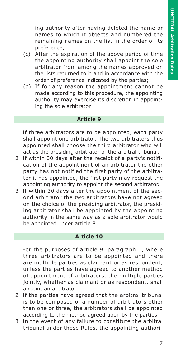<span id="page-12-0"></span>ing authority after having deleted the name or names to which it objects and numbered the remaining names on the list in the order of its preference;

- (c) After the expiration of the above period of time the appointing authority shall appoint the sole arbitrator from among the names approved on the lists returned to it and in accordance with the order of preference indicated by the parties;
- (d) If for any reason the appointment cannot be made according to this procedure, the appointing authority may exercise its discretion in appointing the sole arbitrator.

#### **Article 9**

- 1 If three arbitrators are to be appointed, each party shall appoint one arbitrator. The two arbitrators thus appointed shall choose the third arbitrator who will act as the presiding arbitrator of the arbitral tribunal.
- 2 If within 30 days after the receipt of a party's notification of the appointment of an arbitrator the other party has not notified the first party of the arbitrator it has appointed, the first party may request the appointing authority to appoint the second arbitrator.
- 3 If within 30 days after the appointment of the second arbitrator the two arbitrators have not agreed on the choice of the presiding arbitrator, the presiding arbitrator shall be appointed by the appointing authority in the same way as a sole arbitrator would be appointed under article 8.

- 1 For the purposes of article 9, paragraph 1, where three arbitrators are to be appointed and there are multiple parties as claimant or as respondent, unless the parties have agreed to another method of appointment of arbitrators, the multiple parties jointly, whether as claimant or as respondent, shall appoint an arbitrator.
- 2 If the parties have agreed that the arbitral tribunal is to be composed of a number of arbitrators other than one or three, the arbitrators shall be appointed according to the method agreed upon by the parties.
- 3 In the event of any failure to constitute the arbitral tribunal under these Rules, the appointing authori-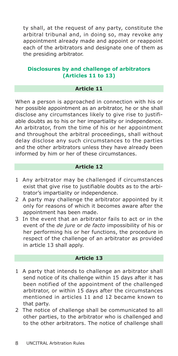<span id="page-13-0"></span>ty shall, at the request of any party, constitute the arbitral tribunal and, in doing so, may revoke any appointment already made and appoint or reappoint each of the arbitrators and designate one of them as the presiding arbitrator.

# **Disclosures by and challenge of arbitrators (Articles 11 to 13)**

#### **Article 11**

When a person is approached in connection with his or her possible appointment as an arbitrator, he or she shall disclose any circumstances likely to give rise to justifiable doubts as to his or her impartiality or independence. An arbitrator, from the time of his or her appointment and throughout the arbitral proceedings, shall without delay disclose any such circumstances to the parties and the other arbitrators unless they have already been informed by him or her of these circumstances.

# **Article 12**

- 1 Any arbitrator may be challenged if circumstances exist that give rise to justifiable doubts as to the arbitrator's impartiality or independence.
- 2 A party may challenge the arbitrator appointed by it only for reasons of which it becomes aware after the appointment has been made.
- 3 In the event that an arbitrator fails to act or in the event of the *de jure* or *de facto* impossibility of his or her performing his or her functions, the procedure in respect of the challenge of an arbitrator as provided in article 13 shall apply.

- 1 A party that intends to challenge an arbitrator shall send notice of its challenge within 15 days after it has been notified of the appointment of the challenged arbitrator, or within 15 days after the circumstances mentioned in articles 11 and 12 became known to that party.
- 2 The notice of challenge shall be communicated to all other parties, to the arbitrator who is challenged and to the other arbitrators. The notice of challenge shall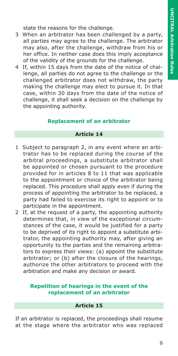<span id="page-14-0"></span>state the reasons for the challenge.

- 3 When an arbitrator has been challenged by a party, all parties may agree to the challenge. The arbitrator may also, after the challenge, withdraw from his or her office. In neither case does this imply acceptance of the validity of the grounds for the challenge.
- 4 If, within 15 days from the date of the notice of challenge, all parties do not agree to the challenge or the challenged arbitrator does not withdraw, the party making the challenge may elect to pursue it. In that case, within 30 days from the date of the notice of challenge, it shall seek a decision on the challenge by the appointing authority.

#### **Replacement of an arbitrator**

#### **Article 14**

- 1 Subject to paragraph 2, in any event where an arbitrator has to be replaced during the course of the arbitral proceedings, a substitute arbitrator shall be appointed or chosen pursuant to the procedure provided for in articles 8 to 11 that was applicable to the appointment or choice of the arbitrator being replaced. This procedure shall apply even if during the process of appointing the arbitrator to be replaced, a party had failed to exercise its right to appoint or to participate in the appointment.
- 2 If, at the request of a party, the appointing authority determines that, in view of the exceptional circumstances of the case, it would be justified for a party to be deprived of its right to appoint a substitute arbitrator, the appointing authority may, after giving an opportunity to the parties and the remaining arbitrators to express their views: (a) appoint the substitute arbitrator; or (b) after the closure of the hearings, authorize the other arbitrators to proceed with the arbitration and make any decision or award.

# **Repetition of hearings in the event of the replacement of an arbitrator**

#### **Article 15**

If an arbitrator is replaced, the proceedings shall resume at the stage where the arbitrator who was replaced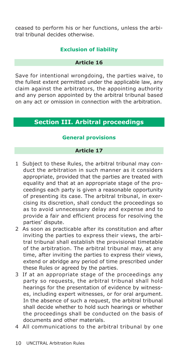<span id="page-15-0"></span>ceased to perform his or her functions, unless the arbitral tribunal decides otherwise.

# **Exclusion of liability**

# **Article 16**

Save for intentional wrongdoing, the parties waive, to the fullest extent permitted under the applicable law, any claim against the arbitrators, the appointing authority and any person appointed by the arbitral tribunal based on any act or omission in connection with the arbitration.

# **Section III. Arbitral proceedings**

# **General provisions**

- 1 Subject to these Rules, the arbitral tribunal may conduct the arbitration in such manner as it considers appropriate, provided that the parties are treated with equality and that at an appropriate stage of the proceedings each party is given a reasonable opportunity of presenting its case. The arbitral tribunal, in exercising its discretion, shall conduct the proceedings so as to avoid unnecessary delay and expense and to provide a fair and efficient process for resolving the parties' dispute.
- 2 As soon as practicable after its constitution and after inviting the parties to express their views, the arbitral tribunal shall establish the provisional timetable of the arbitration. The arbitral tribunal may, at any time, after inviting the parties to express their views, extend or abridge any period of time prescribed under these Rules or agreed by the parties.
- 3 If at an appropriate stage of the proceedings any party so requests, the arbitral tribunal shall hold hearings for the presentation of evidence by witnesses, including expert witnesses, or for oral argument. In the absence of such a request, the arbitral tribunal shall decide whether to hold such hearings or whether the proceedings shall be conducted on the basis of documents and other materials.
- 4 All communications to the arbitral tribunal by one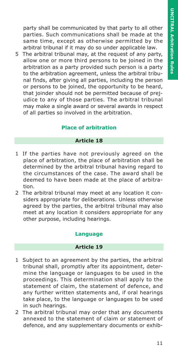<span id="page-16-0"></span>party shall be communicated by that party to all other parties. Such communications shall be made at the same time, except as otherwise permitted by the arbitral tribunal if it may do so under applicable law.

5 The arbitral tribunal may, at the request of any party, allow one or more third persons to be joined in the arbitration as a party provided such person is a party to the arbitration agreement, unless the arbitral tribunal finds, after giving all parties, including the person or persons to be joined, the opportunity to be heard, that joinder should not be permitted because of prejudice to any of those parties. The arbitral tribunal may make a single award or several awards in respect of all parties so involved in the arbitration.

# **Place of arbitration**

#### **Article 18**

- 1 If the parties have not previously agreed on the place of arbitration, the place of arbitration shall be determined by the arbitral tribunal having regard to the circumstances of the case. The award shall be deemed to have been made at the place of arbitration.
- 2 The arbitral tribunal may meet at any location it considers appropriate for deliberations. Unless otherwise agreed by the parties, the arbitral tribunal may also meet at any location it considers appropriate for any other purpose, including hearings.

#### **Language**

- 1 Subject to an agreement by the parties, the arbitral tribunal shall, promptly after its appointment, determine the language or languages to be used in the proceedings. This determination shall apply to the statement of claim, the statement of defence, and any further written statements and, if oral hearings take place, to the language or languages to be used in such hearings.
- 2 The arbitral tribunal may order that any documents annexed to the statement of claim or statement of defence, and any supplementary documents or exhib-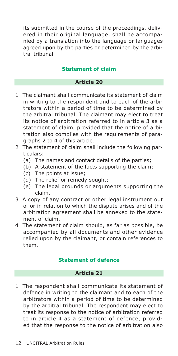<span id="page-17-0"></span>its submitted in the course of the proceedings, delivered in their original language, shall be accompanied by a translation into the language or languages agreed upon by the parties or determined by the arbitral tribunal.

#### **Statement of claim**

#### **Article 20**

- 1 The claimant shall communicate its statement of claim in writing to the respondent and to each of the arbitrators within a period of time to be determined by the arbitral tribunal. The claimant may elect to treat its notice of arbitration referred to in article 3 as a statement of claim, provided that the notice of arbitration also complies with the requirements of paragraphs 2 to 4 of this article.
- 2 The statement of claim shall include the following particulars:
	- (a) The names and contact details of the parties;
	- (b) A statement of the facts supporting the claim;
	- (c) The points at issue;
	- (d) The relief or remedy sought;
	- (e) The legal grounds or arguments supporting the claim.
- 3 A copy of any contract or other legal instrument out of or in relation to which the dispute arises and of the arbitration agreement shall be annexed to the statement of claim.
- 4 The statement of claim should, as far as possible, be accompanied by all documents and other evidence relied upon by the claimant, or contain references to them.

#### **Statement of defence**

#### **Article 21**

1 The respondent shall communicate its statement of defence in writing to the claimant and to each of the arbitrators within a period of time to be determined by the arbitral tribunal. The respondent may elect to treat its response to the notice of arbitration referred to in article 4 as a statement of defence, provided that the response to the notice of arbitration also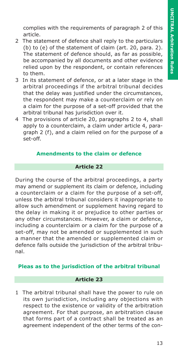<span id="page-18-0"></span>complies with the requirements of paragraph 2 of this article.

- 2 The statement of defence shall reply to the particulars (b) to (e) of the statement of claim (art. 20, para. 2). The statement of defence should, as far as possible, be accompanied by all documents and other evidence relied upon by the respondent, or contain references to them.
- 3 In its statement of defence, or at a later stage in the arbitral proceedings if the arbitral tribunal decides that the delay was justified under the circumstances, the respondent may make a counterclaim or rely on a claim for the purpose of a set-off provided that the arbitral tribunal has jurisdiction over it.
- 4 The provisions of article 20, paragraphs 2 to 4, shall apply to a counterclaim, a claim under article 4, paragraph 2 (f), and a claim relied on for the purpose of a set-off.

# **Amendments to the claim or defence**

# **Article 22**

During the course of the arbitral proceedings, a party may amend or supplement its claim or defence, including a counterclaim or a claim for the purpose of a set-off, unless the arbitral tribunal considers it inappropriate to allow such amendment or supplement having regard to the delay in making it or prejudice to other parties or any other circumstances. However, a claim or defence, including a counterclaim or a claim for the purpose of a set-off, may not be amended or supplemented in such a manner that the amended or supplemented claim or defence falls outside the jurisdiction of the arbitral tribunal.

#### **Pleas as to the jurisdiction of the arbitral tribunal**

#### **Article 23**

1 The arbitral tribunal shall have the power to rule on its own jurisdiction, including any objections with respect to the existence or validity of the arbitration agreement. For that purpose, an arbitration clause that forms part of a contract shall be treated as an agreement independent of the other terms of the con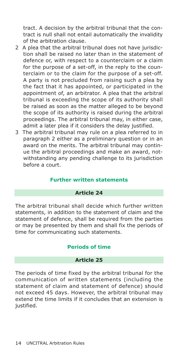<span id="page-19-0"></span>tract. A decision by the arbitral tribunal that the contract is null shall not entail automatically the invalidity of the arbitration clause.

- 2 A plea that the arbitral tribunal does not have jurisdiction shall be raised no later than in the statement of defence or, with respect to a counterclaim or a claim for the purpose of a set-off, in the reply to the counterclaim or to the claim for the purpose of a set-off. A party is not precluded from raising such a plea by the fact that it has appointed, or participated in the appointment of, an arbitrator. A plea that the arbitral tribunal is exceeding the scope of its authority shall be raised as soon as the matter alleged to be beyond the scope of its authority is raised during the arbitral proceedings. The arbitral tribunal may, in either case, admit a later plea if it considers the delay justified.
- 3 The arbitral tribunal may rule on a plea referred to in paragraph 2 either as a preliminary question or in an award on the merits. The arbitral tribunal may continue the arbitral proceedings and make an award, notwithstanding any pending challenge to its jurisdiction before a court.

#### **Further written statements**

#### **Article 24**

The arbitral tribunal shall decide which further written statements, in addition to the statement of claim and the statement of defence, shall be required from the parties or may be presented by them and shall fix the periods of time for communicating such statements.

# **Periods of time**

#### **Article 25**

The periods of time fixed by the arbitral tribunal for the communication of written statements (including the statement of claim and statement of defence) should not exceed 45 days. However, the arbitral tribunal may extend the time limits if it concludes that an extension is justified.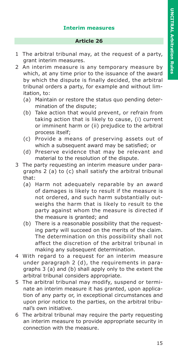# **Interim measures**

- <span id="page-20-0"></span>1 The arbitral tribunal may, at the request of a party, grant interim measures.
- 2 An interim measure is any temporary measure by which, at any time prior to the issuance of the award by which the dispute is finally decided, the arbitral tribunal orders a party, for example and without limitation, to:
	- (a) Maintain or restore the status quo pending determination of the dispute;
	- (b) Take action that would prevent, or refrain from taking action that is likely to cause, (i) current or imminent harm or (ii) prejudice to the arbitral process itself;
	- (c) Provide a means of preserving assets out of which a subsequent award may be satisfied; or
	- (d) Preserve evidence that may be relevant and material to the resolution of the dispute.
- 3 The party requesting an interim measure under paragraphs 2 (a) to (c) shall satisfy the arbitral tribunal that:
	- (a) Harm not adequately reparable by an award of damages is likely to result if the measure is not ordered, and such harm substantially outweighs the harm that is likely to result to the party against whom the measure is directed if the measure is granted; and
	- (b) There is a reasonable possibility that the requesting party will succeed on the merits of the claim. The determination on this possibility shall not affect the discretion of the arbitral tribunal in making any subsequent determination.
- 4 With regard to a request for an interim measure under paragraph 2 (d), the requirements in paragraphs 3 (a) and (b) shall apply only to the extent the arbitral tribunal considers appropriate.
- 5 The arbitral tribunal may modify, suspend or terminate an interim measure it has granted, upon application of any party or, in exceptional circumstances and upon prior notice to the parties, on the arbitral tribunal's own initiative.
- 6 The arbitral tribunal may require the party requesting an interim measure to provide appropriate security in connection with the measure.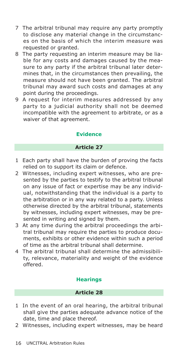- <span id="page-21-0"></span>7 The arbitral tribunal may require any party promptly to disclose any material change in the circumstances on the basis of which the interim measure was requested or granted.
- 8 The party requesting an interim measure may be liable for any costs and damages caused by the measure to any party if the arbitral tribunal later determines that, in the circumstances then prevailing, the measure should not have been granted. The arbitral tribunal may award such costs and damages at any point during the proceedings.
- 9 A request for interim measures addressed by any party to a judicial authority shall not be deemed incompatible with the agreement to arbitrate, or as a waiver of that agreement.

# **Evidence**

# **Article 27**

- 1 Each party shall have the burden of proving the facts relied on to support its claim or defence.
- 2 Witnesses, including expert witnesses, who are presented by the parties to testify to the arbitral tribunal on any issue of fact or expertise may be any individual, notwithstanding that the individual is a party to the arbitration or in any way related to a party. Unless otherwise directed by the arbitral tribunal, statements by witnesses, including expert witnesses, may be presented in writing and signed by them.
- 3 At any time during the arbitral proceedings the arbitral tribunal may require the parties to produce documents, exhibits or other evidence within such a period of time as the arbitral tribunal shall determine.
- 4 The arbitral tribunal shall determine the admissibility, relevance, materiality and weight of the evidence offered.

# **Hearings**

- 1 In the event of an oral hearing, the arbitral tribunal shall give the parties adequate advance notice of the date, time and place thereof.
- 2 Witnesses, including expert witnesses, may be heard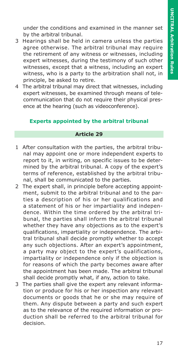<span id="page-22-0"></span>under the conditions and examined in the manner set by the arbitral tribunal.

- 3 Hearings shall be held in camera unless the parties agree otherwise. The arbitral tribunal may require the retirement of any witness or witnesses, including expert witnesses, during the testimony of such other witnesses, except that a witness, including an expert witness, who is a party to the arbitration shall not, in principle, be asked to retire.
- 4 The arbitral tribunal may direct that witnesses, including expert witnesses, be examined through means of telecommunication that do not require their physical presence at the hearing (such as videoconference).

# **Experts appointed by the arbitral tribunal**

- 1 After consultation with the parties, the arbitral tribunal may appoint one or more independent experts to report to it, in writing, on specific issues to be determined by the arbitral tribunal. A copy of the expert's terms of reference, established by the arbitral tribunal, shall be communicated to the parties.
- 2 The expert shall, in principle before accepting appointment, submit to the arbitral tribunal and to the parties a description of his or her qualifications and a statement of his or her impartiality and independence. Within the time ordered by the arbitral tribunal, the parties shall inform the arbitral tribunal whether they have any objections as to the expert's qualifications, impartiality or independence. The arbitral tribunal shall decide promptly whether to accept any such objections. After an expert's appointment, a party may object to the expert's qualifications, impartiality or independence only if the objection is for reasons of which the party becomes aware after the appointment has been made. The arbitral tribunal shall decide promptly what, if any, action to take.
- 3 The parties shall give the expert any relevant information or produce for his or her inspection any relevant documents or goods that he or she may require of them. Any dispute between a party and such expert as to the relevance of the required information or production shall be referred to the arbitral tribunal for decision.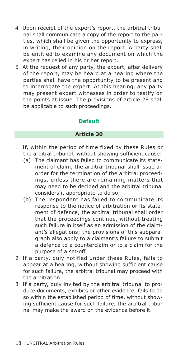- <span id="page-23-0"></span>4 Upon receipt of the expert's report, the arbitral tribunal shall communicate a copy of the report to the parties, which shall be given the opportunity to express, in writing, their opinion on the report. A party shall be entitled to examine any document on which the expert has relied in his or her report.
- 5 At the request of any party, the expert, after delivery of the report, may be heard at a hearing where the parties shall have the opportunity to be present and to interrogate the expert. At this hearing, any party may present expert witnesses in order to testify on the points at issue. The provisions of article 28 shall be applicable to such proceedings.

# **Default**

- 1 If, within the period of time fixed by these Rules or the arbitral tribunal, without showing sufficient cause:
	- (a) The claimant has failed to communicate its statement of claim, the arbitral tribunal shall issue an order for the termination of the arbitral proceedings, unless there are remaining matters that may need to be decided and the arbitral tribunal considers it appropriate to do so;
	- (b) The respondent has failed to communicate its response to the notice of arbitration or its statement of defence, the arbitral tribunal shall order that the proceedings continue, without treating such failure in itself as an admission of the claimant's allegations; the provisions of this subparagraph also apply to a claimant's failure to submit a defence to a counterclaim or to a claim for the purpose of a set-off.
- 2 If a party, duly notified under these Rules, fails to appear at a hearing, without showing sufficient cause for such failure, the arbitral tribunal may proceed with the arbitration.
- 3 If a party, duly invited by the arbitral tribunal to produce documents, exhibits or other evidence, fails to do so within the established period of time, without showing sufficient cause for such failure, the arbitral tribunal may make the award on the evidence before it.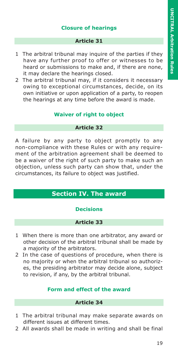# **Closure of hearings**

# **Article 31**

- <span id="page-24-0"></span>1 The arbitral tribunal may inquire of the parties if they have any further proof to offer or witnesses to be heard or submissions to make and, if there are none, it may declare the hearings closed.
- 2 The arbitral tribunal may, if it considers it necessary owing to exceptional circumstances, decide, on its own initiative or upon application of a party, to reopen the hearings at any time before the award is made.

# **Waiver of right to object**

#### **Article 32**

A failure by any party to object promptly to any non-compliance with these Rules or with any requirement of the arbitration agreement shall be deemed to be a waiver of the right of such party to make such an objection, unless such party can show that, under the circumstances, its failure to object was justified.

# **Section IV. The award**

# **Decisions**

# **Article 33**

- 1 When there is more than one arbitrator, any award or other decision of the arbitral tribunal shall be made by a majority of the arbitrators.
- 2 In the case of questions of procedure, when there is no majority or when the arbitral tribunal so authorizes, the presiding arbitrator may decide alone, subject to revision, if any, by the arbitral tribunal.

# **Form and effect of the award**

- 1 The arbitral tribunal may make separate awards on different issues at different times.
- 2 All awards shall be made in writing and shall be final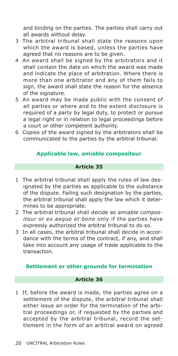<span id="page-25-0"></span>and binding on the parties. The parties shall carry out all awards without delay.

- 3 The arbitral tribunal shall state the reasons upon which the award is based, unless the parties have agreed that no reasons are to be given.
- 4 An award shall be signed by the arbitrators and it shall contain the date on which the award was made and indicate the place of arbitration. Where there is more than one arbitrator and any of them fails to sign, the award shall state the reason for the absence of the signature.
- 5 An award may be made public with the consent of all parties or where and to the extent disclosure is required of a party by legal duty, to protect or pursue a legal right or in relation to legal proceedings before a court or other competent authority.
- 6 Copies of the award signed by the arbitrators shall be communicated to the parties by the arbitral tribunal.

# **Applicable law, amiable compositeur**

# **Article 35**

- 1 The arbitral tribunal shall apply the rules of law designated by the parties as applicable to the substance of the dispute. Failing such designation by the parties, the arbitral tribunal shall apply the law which it determines to be appropriate.
- 2 The arbitral tribunal shall decide as *amiable compositeur* or *ex aequo et bono* only if the parties have expressly authorized the arbitral tribunal to do so.
- 3 In all cases, the arbitral tribunal shall decide in accordance with the terms of the contract, if any, and shall take into account any usage of trade applicable to the transaction.

# **Settlement or other grounds for termination**

#### **Article 36**

1 If, before the award is made, the parties agree on a settlement of the dispute, the arbitral tribunal shall either issue an order for the termination of the arbitral proceedings or, if requested by the parties and accepted by the arbitral tribunal, record the settlement in the form of an arbitral award on agreed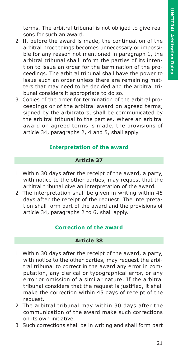<span id="page-26-0"></span>terms. The arbitral tribunal is not obliged to give reasons for such an award.

- 2 If, before the award is made, the continuation of the arbitral proceedings becomes unnecessary or impossible for any reason not mentioned in paragraph 1, the arbitral tribunal shall inform the parties of its intention to issue an order for the termination of the proceedings. The arbitral tribunal shall have the power to issue such an order unless there are remaining matters that may need to be decided and the arbitral tribunal considers it appropriate to do so.
- 3 Copies of the order for termination of the arbitral proceedings or of the arbitral award on agreed terms, signed by the arbitrators, shall be communicated by the arbitral tribunal to the parties. Where an arbitral award on agreed terms is made, the provisions of article 34, paragraphs 2, 4 and 5, shall apply.

# **Interpretation of the award**

#### **Article 37**

- 1 Within 30 days after the receipt of the award, a party, with notice to the other parties, may request that the arbitral tribunal give an interpretation of the award.
- 2 The interpretation shall be given in writing within 45 days after the receipt of the request. The interpretation shall form part of the award and the provisions of article 34, paragraphs 2 to 6, shall apply.

#### **Correction of the award**

- 1 Within 30 days after the receipt of the award, a party, with notice to the other parties, may request the arbitral tribunal to correct in the award any error in computation, any clerical or typographical error, or any error or omission of a similar nature. If the arbitral tribunal considers that the request is justified, it shall make the correction within 45 days of receipt of the request.
- 2 The arbitral tribunal may within 30 days after the communication of the award make such corrections on its own initiative.
- 3 Such corrections shall be in writing and shall form part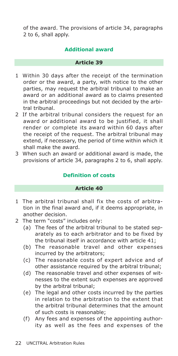<span id="page-27-0"></span>of the award. The provisions of article 34, paragraphs 2 to 6, shall apply.

# **Additional award**

#### **Article 39**

- 1 Within 30 days after the receipt of the termination order or the award, a party, with notice to the other parties, may request the arbitral tribunal to make an award or an additional award as to claims presented in the arbitral proceedings but not decided by the arbitral tribunal.
- 2 If the arbitral tribunal considers the request for an award or additional award to be justified, it shall render or complete its award within 60 days after the receipt of the request. The arbitral tribunal may extend, if necessary, the period of time within which it shall make the award.
- 3 When such an award or additional award is made, the provisions of article 34, paragraphs 2 to 6, shall apply.

# **Definition of costs**

- 1 The arbitral tribunal shall fix the costs of arbitration in the final award and, if it deems appropriate, in another decision.
- 2 The term "costs" includes only:
	- (a) The fees of the arbitral tribunal to be stated separately as to each arbitrator and to be fixed by the tribunal itself in accordance with article 41;
	- (b) The reasonable travel and other expenses incurred by the arbitrators;
	- (c) The reasonable costs of expert advice and of other assistance required by the arbitral tribunal;
	- (d) The reasonable travel and other expenses of witnesses to the extent such expenses are approved by the arbitral tribunal;
	- (e) The legal and other costs incurred by the parties in relation to the arbitration to the extent that the arbitral tribunal determines that the amount of such costs is reasonable;
	- (f) Any fees and expenses of the appointing authority as well as the fees and expenses of the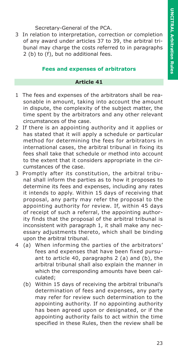Secretary-General of the PCA.

<span id="page-28-0"></span>3 In relation to interpretation, correction or completion of any award under articles 37 to 39, the arbitral tribunal may charge the costs referred to in paragraphs 2 (b) to (f), but no additional fees.

#### **Fees and expenses of arbitrators**

- 1 The fees and expenses of the arbitrators shall be reasonable in amount, taking into account the amount in dispute, the complexity of the subject matter, the time spent by the arbitrators and any other relevant circumstances of the case.
- 2 If there is an appointing authority and it applies or has stated that it will apply a schedule or particular method for determining the fees for arbitrators in international cases, the arbitral tribunal in fixing its fees shall take that schedule or method into account to the extent that it considers appropriate in the circumstances of the case.
- 3 Promptly after its constitution, the arbitral tribunal shall inform the parties as to how it proposes to determine its fees and expenses, including any rates it intends to apply. Within 15 days of receiving that proposal, any party may refer the proposal to the appointing authority for review. If, within 45 days of receipt of such a referral, the appointing authority finds that the proposal of the arbitral tribunal is inconsistent with paragraph 1, it shall make any necessary adjustments thereto, which shall be binding upon the arbitral tribunal.
- 4 (a) When informing the parties of the arbitrators' fees and expenses that have been fixed pursuant to article 40, paragraphs 2 (a) and (b), the arbitral tribunal shall also explain the manner in which the corresponding amounts have been calculated;
	- (b) Within 15 days of receiving the arbitral tribunal's determination of fees and expenses, any party may refer for review such determination to the appointing authority. If no appointing authority has been agreed upon or designated, or if the appointing authority fails to act within the time specified in these Rules, then the review shall be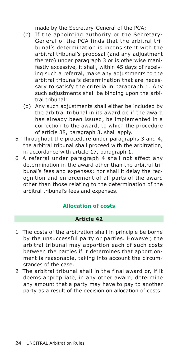made by the Secretary-General of the PCA;

- <span id="page-29-0"></span>(c) If the appointing authority or the Secretary-General of the PCA finds that the arbitral tribunal's determination is inconsistent with the arbitral tribunal's proposal (and any adjustment thereto) under paragraph 3 or is otherwise manifestly excessive, it shall, within 45 days of receiving such a referral, make any adjustments to the arbitral tribunal's determination that are necessary to satisfy the criteria in paragraph 1. Any such adjustments shall be binding upon the arbitral tribunal;
- (d) Any such adjustments shall either be included by the arbitral tribunal in its award or, if the award has already been issued, be implemented in a correction to the award, to which the procedure of article 38, paragraph 3, shall apply.
- 5 Throughout the procedure under paragraphs 3 and 4, the arbitral tribunal shall proceed with the arbitration, in accordance with article 17, paragraph 1.
- 6 A referral under paragraph 4 shall not affect any determination in the award other than the arbitral tribunal's fees and expenses; nor shall it delay the recognition and enforcement of all parts of the award other than those relating to the determination of the arbitral tribunal's fees and expenses.

# **Allocation of costs**

- 1 The costs of the arbitration shall in principle be borne by the unsuccessful party or parties. However, the arbitral tribunal may apportion each of such costs between the parties if it determines that apportionment is reasonable, taking into account the circumstances of the case.
- 2 The arbitral tribunal shall in the final award or, if it deems appropriate, in any other award, determine any amount that a party may have to pay to another party as a result of the decision on allocation of costs.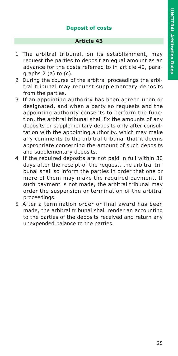# **Deposit of costs**

- <span id="page-30-0"></span>1 The arbitral tribunal, on its establishment, may request the parties to deposit an equal amount as an advance for the costs referred to in article 40, paragraphs  $2$  (a) to  $(c)$ .
- 2 During the course of the arbitral proceedings the arbitral tribunal may request supplementary deposits from the parties.
- 3 If an appointing authority has been agreed upon or designated, and when a party so requests and the appointing authority consents to perform the function, the arbitral tribunal shall fix the amounts of any deposits or supplementary deposits only after consultation with the appointing authority, which may make any comments to the arbitral tribunal that it deems appropriate concerning the amount of such deposits and supplementary deposits.
- 4 If the required deposits are not paid in full within 30 days after the receipt of the request, the arbitral tribunal shall so inform the parties in order that one or more of them may make the required payment. If such payment is not made, the arbitral tribunal may order the suspension or termination of the arbitral proceedings.
- 5 After a termination order or final award has been made, the arbitral tribunal shall render an accounting to the parties of the deposits received and return any unexpended balance to the parties.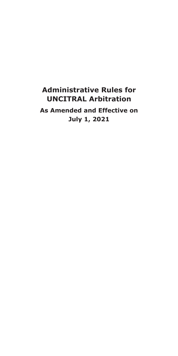# **Administrative Rules for UNCITRAL Arbitration As Amended and Effective on**

**July 1, 2021**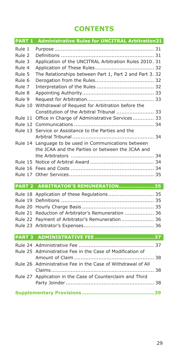# **CONTENTS**

|         | <b>PART 1 Administrative Rules for UNCITRAL Arbitration31</b> |
|---------|---------------------------------------------------------------|
| Rule 1  |                                                               |
| Rule 2  |                                                               |
| Rule 3  | Application of the UNCITRAL Arbitration Rules 2010, 31        |
| Rule 4  |                                                               |
| Rule 5  | The Relationships between Part 1, Part 2 and Part 3.32        |
| Rule 6  |                                                               |
| Rule 7  |                                                               |
| Rule 8  |                                                               |
| Rule 9  |                                                               |
| Rule 10 | Withdrawal of Request for Arbitration before the              |
|         | Constitution of the Arbitral Tribunal  33                     |
| Rule 11 | Office in Charge of Administrative Services 33                |
| Rule 12 |                                                               |
| Rule 13 | Service or Assistance to the Parties and the                  |
|         | Rule 14 Language to be used in Communications between         |
|         | the JCAA and the Parties or between the JCAA and              |
|         |                                                               |
| Rule 15 |                                                               |
| Rule 16 |                                                               |
| Rule 17 |                                                               |
|         |                                                               |
|         | PART 2 ARBITRATOR'S REMUNERATION35                            |
| Rule 18 |                                                               |
| Rule 19 |                                                               |
| Rule 20 |                                                               |
| Rule 21 | Reduction of Arbitrator's Remuneration  36                    |
| Rule 22 | Payment of Arbitrator's Remuneration 36                       |
| Rule 23 |                                                               |
|         |                                                               |
|         |                                                               |
|         | Rule 25 Administrative Fee in the Case of Modification of     |
|         |                                                               |
|         | Rule 26 Administrative Fee in the Case of Withdrawal of All   |
|         |                                                               |
| Rule 27 | Application in the Case of Counterclaim and Third             |
|         |                                                               |
|         |                                                               |
|         |                                                               |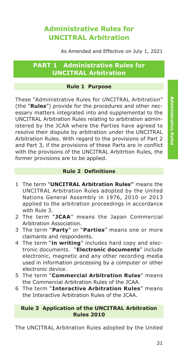# <span id="page-36-0"></span>**Administrative Rules for UNCITRAL Arbitration**

As Amended and Effective on July 1, 2021

# **PART 1 Administrative Rules for UNCITRAL Arbitration**

#### **Rule 1 Purpose**

These "Administrative Rules for UNCITRAL Arbitration" (the "**Rules**") provide for the procedures and other necessary matters integrated into and supplemental to the UNCITRAL Arbitration Rules relating to arbitration administered by the JCAA where the Parties have agreed to resolve their dispute by arbitration under the UNCITRAL Arbitration Rules. With regard to the provisions of Part 2 and Part 3, if the provisions of these Parts are in conflict with the provisons of the UNCITRAL Arbitrtion Rules, the former provisions are to be applied.

# **Rule 2 Definitions**

- 1 The term "**UNCITRAL Arbitration Rules"** means the UNCITRAL Arbitration Rules adopted by the United Nations General Assembly in 1976, 2010 or 2013 applied to the arbitration proceedings in accordance with Rule 3.
- 2 The term "**JCAA**" means the Japan Commercial Arbitration Association.
- 3 The term "**Party**" or "**Parties**" means one or more claimants and respondents.
- 4 The term "**in writing**" includes hard copy and electronic documents. "**Electronic documents**" include electronic, magnetic and any other recording media used in information processing by a computer or other electronic device.
- 5 The term "**Commercial Arbitration Rules**" means the Commercial Arbitration Rules of the JCAA.
- 6 The term "**Interactive Arbitration Rules**" means the Interactive Arbitration Rules of the JCAA.

#### **Rule 3 Application of the UNCITRAL Arbitration Rules 2010**

The UNCITRAL Arbitration Rules adopted by the United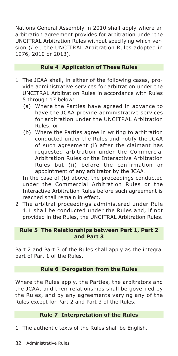<span id="page-37-0"></span>Nations General Assembly in 2010 shall apply where an arbitration agreement provides for arbitration under the UNCITRAL Arbitration Rules without specifying which version (*i.e.*, the UNCITRAL Arbitration Rules adopted in 1976, 2010 or 2013).

# **Rule 4 Application of These Rules**

- 1 The JCAA shall, in either of the following cases, provide administrative services for arbitration under the UNCITRAL Arbitration Rules in accordance with Rules 5 through 17 below:
	- (a) Where the Parties have agreed in advance to have the JCAA provide administrative services for arbitration under the UNCITRAL Arbitration Rules; or
	- (b) Where the Parties agree in writing to arbitration conducted under the Rules and notify the JCAA of such agreement (i) after the claimant has requested arbitration under the Commercial Arbitration Rules or the Interactive Arbitration Rules but (ii) before the confirmation or appointment of any arbitrator by the JCAA.

In the case of (b) above, the proceedings conducted under the Commercial Arbitration Rules or the Interactive Arbitration Rules before such agreement is reached shall remain in effect.

2 The arbitral proceedings administered under Rule 4.1 shall be conducted under the Rules and, if not provided in the Rules, the UNCITRAL Arbitration Rules.

# **Rule 5 The Relationships between Part 1, Part 2 and Part 3**

Part 2 and Part 3 of the Rules shall apply as the integral part of Part 1 of the Rules.

# **Rule 6 Derogation from the Rules**

Where the Rules apply, the Parties, the arbitrators and the JCAA, and their relationships shall be governed by the Rules, and by any agreements varying any of the Rules except for Part 2 and Part 3 of the Rules.

# **Rule 7 Interpretation of the Rules**

1 The authentic texts of the Rules shall be English.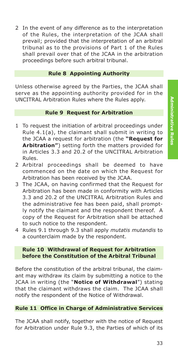<span id="page-38-0"></span>2 In the event of any difference as to the interpretation of the Rules, the interpretation of the JCAA shall prevail; provided that the interpretation of an arbitral tribunal as to the provisions of Part 1 of the Rules shall prevail over that of the JCAA in the arbitration proceedings before such arbitral tribunal.

# **Rule 8 Appointing Authority**

Unless otherwise agreed by the Parties, the JCAA shall serve as the appointing authority provided for in the UNCITRAL Arbitration Rules where the Rules apply.

#### **Rule 9 Request for Arbitration**

- 1 To request the initiation of arbitral proceedings under Rule 4.1(a), the claimant shall submit in writing to the JCAA a request for arbitration (the **"Request for Arbitration"**) setting forth the matters provided for in Articles 3.3 and 20.2 of the UNCITRAL Arbitration Rules.
- 2 Arbitral proceedings shall be deemed to have commenced on the date on which the Request for Arbitration has been received by the JCAA.
- 3 The JCAA, on having confirmed that the Request for Arbitration has been made in conformity with Articles 3.3 and 20.2 of the UNCITRAL Arbitration Rules and the administrative fee has been paid, shall promptly notify the claimant and the respondent thereof. A copy of the Request for Arbitration shall be attached to such notice to the respondent.
- 4 Rules 9.1 through 9.3 shall apply *mutatis mutandis* to a counterclaim made by the respondent.

# **Rule 10 Withdrawal of Request for Arbitration before the Constitution of the Arbitral Tribunal**

Before the constitution of the arbitral tribunal, the claimant may withdraw its claim by submitting a notice to the JCAA in writing (the "**Notice of Withdrawal**") stating that the claimant withdraws the claim. The JCAA shall notify the respondent of the Notice of Withdrawal.

#### **Rule 11 Office in Charge of Administrative Services**

The JCAA shall notify, together with the notice of Request for Arbitration under Rule 9.3, the Parties of which of its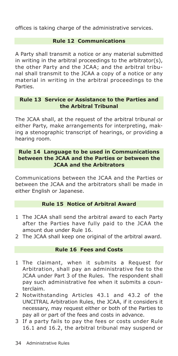<span id="page-39-0"></span>offices is taking charge of the administrative services.

# **Rule 12 Communications**

A Party shall transmit a notice or any material submitted in writing in the arbitral proceedings to the arbitrator(s), the other Party and the JCAA; and the arbitral tribunal shall transmit to the JCAA a copy of a notice or any material in writing in the arbitral proceedings to the Parties.

# **Rule 13 Service or Assistance to the Parties and the Arbitral Tribunal**

The JCAA shall, at the request of the arbitral tribunal or either Party, make arrangements for interpreting, making a stenographic transcript of hearings, or providing a hearing room.

# **Rule 14 Language to be used in Communications between the JCAA and the Parties or between the JCAA and the Arbitrators**

Communications between the JCAA and the Parties or between the JCAA and the arbitrators shall be made in either English or Japanese.

#### **Rule 15 Notice of Arbitral Award**

- 1 The JCAA shall send the arbitral award to each Party after the Parties have fully paid to the JCAA the amount due under Rule 16.
- 2 The JCAA shall keep one original of the arbitral award.

#### **Rule 16 Fees and Costs**

- 1 The claimant, when it submits a Request for Arbitration, shall pay an administrative fee to the JCAA under Part 3 of the Rules. The respondent shall pay such administrative fee when it submits a counterclaim.
- 2 Notwithstanding Articles 43.1 and 43.2 of the UNCITRAL Arbitration Rules, the JCAA, if it considers it necessary, may request either or both of the Parties to pay all or part of the fees and costs in advance.
- 3 If a party fails to pay the fees or costs under Rule 16.1 and 16.2, the arbitral tribunal may suspend or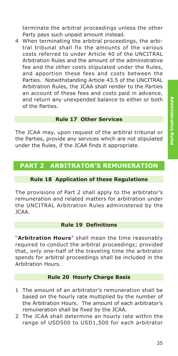<span id="page-40-0"></span>terminate the arbitral proceedings unless the other Party pays such unpaid amount instead.

4 When terminating the arbitral proceedings, the arbitral tribunal shall fix the amounts of the various costs referred to under Article 40 of the UNCITRAL Arbitration Rules and the amount of the administrative fee and the other costs stipulated under the Rules, and apportion these fees and costs between the Parties. Notwithstanding Article 43.5 of the UNCITRAL Arbitration Rules, the JCAA shall render to the Parties an account of these fees and costs paid in advance, and return any unexpended balance to either or both of the Parties.

#### **Rule 17 Other Services**

The JCAA may, upon request of the arbitral tribunal or the Parties, provide any services which are not stipulated under the Rules, if the JCAA finds it appropriate.

# **PART 2 ARBITRATOR'S REMUNERATION**

#### **Rule 18 Application of these Regulations**

The provisions of Part 2 shall apply to the arbitrator's remuneration and related matters for arbitration under the UNCITRAL Arbitration Rules administered by the JCAA.

#### **Rule 19 Definitions**

"**Arbitration Hours**" shall mean the time reasonably required to conduct the arbitral proceedings; provided that, only one-half of the traveling time the arbitrator spends for arbitral proceedings shall be included in the Arbitration Hours.

#### **Rule 20 Hourly Charge Basis**

- 1 The amount of an arbitrator's remuneration shall be based on the hourly rate multiplied by the number of the Arbitration Hours. The amount of each arbitrator's remuneration shall be fixed by the JCAA.
- 2 The JCAA shall determine an hourly rate within the range of USD500 to USD1,500 for each arbitrator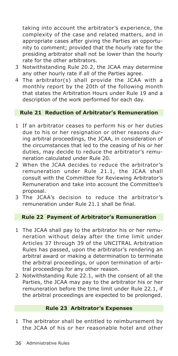<span id="page-41-0"></span>taking into account the arbitrator's experience, the complexity of the case and related matters, and in appropriate cases after giving the Parties an opportunity to comment; provided that the hourly rate for the presiding arbitrator shall not be lower than the hourly rate for the other arbitrators.

- 3 Notwithstanding Rule 20.2, the JCAA may determine any other hourly rate if all of the Parties agree.
- 4 The arbitrator(s) shall provide the JCAA with a monthly report by the 20th of the following month that states the Arbitration Hours under Rule 19 and a description of the work performed for each day.

# **Rule 21 Reduction of Arbitrator's Remuneration**

- 1 If an arbitrator ceases to perform his or her duties due to his or her resignation or other reasons during arbitral proceedings, the JCAA, in consideration of the circumstances that led to the ceasing of his or her duties, may decide to reduce the arbitrator's remuneration calculated under Rule 20.
- 2 When the JCAA decides to reduce the arbitrator's remuneration under Rule 21.1, the JCAA shall consult with the Committee for Reviewing Arbitrator's Remuneration and take into account the Committee's proposal.
- 3 The JCAA's decision to reduce the arbitrator's remuneration under Rule 21.1 shall be final.

#### **Rule 22 Payment of Arbitrator's Remuneration**

- 1 The JCAA shall pay to the arbitrator his or her remuneration without delay after the time limit under Articles 37 through 39 of the UNCITRAL Arbitration Rules has passed, upon the arbitrator's rendering an arbitral award or making a determination to terminate the arbitral proceedings, or upon termination of arbitral proceedings for any other reason.
- 2 Notwithstanding Rule 22.1, with the consent of all the Parties, the JCAA may pay to the arbitrator his or her remuneration before the time limit under Rule 22.1, if the arbitral proceedings are expected to be prolonged.

#### **Rule 23 Arbitrator's Expenses**

1 The arbitrator shall be entitled to reimbursement by the JCAA of his or her reasonable hotel and other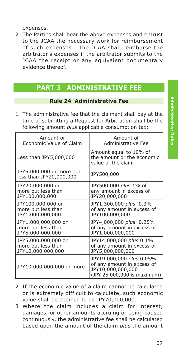<span id="page-42-0"></span>expenses.

2 The Parties shall bear the above expenses and entrust to the JCAA the necessary work for reimbursement of such expenses. The JCAA shall reimburse the arbitrator's expenses if the arbitrator submits to the JCAA the receipt or any equivalent documentary evidence thereof.

# **PART 3 ADMINISTRATIVE FEE**

# **Rule 24 Administrative Fee**

1 The administrative fee that the claimant shall pay at the time of submitting a Request for Arbitration shall be the following amount *plus* applicable consumption tax:

| Amount or                                           | Amount of                                                                                                  |
|-----------------------------------------------------|------------------------------------------------------------------------------------------------------------|
| Economic Value of Claim                             | Administrative Fee                                                                                         |
| Less than JPY5,000,000                              | Amount equal to 10% of<br>the amount or the economic<br>value of the claim                                 |
| JPY5,000,000 or more but<br>less than JPY20,000,000 | JPY500,000                                                                                                 |
| JPY20,000,000 or                                    | JPY500,000 plus 1% of                                                                                      |
| more but less than                                  | any amount in excess of                                                                                    |
| JPY100,000,000                                      | JPY20,000,000                                                                                              |
| JPY100,000,000 or                                   | JPY1,300,000 plus 0.3%                                                                                     |
| more but less than                                  | of any amount in excess of                                                                                 |
| JPY1,000,000,000                                    | JPY100,000,000                                                                                             |
| JPY1,000,000,000 or                                 | JPY4,000,000 plus 0.25%                                                                                    |
| more but less than                                  | of any amount in excess of                                                                                 |
| JPY5,000,000,000                                    | JPY1,000,000,000                                                                                           |
| JPY5,000,000,000 or                                 | JPY14,000,000 plus 0.1%                                                                                    |
| more but less than                                  | of any amount in excess of                                                                                 |
| JPY10,000,000,000                                   | JPY5,000,000,000                                                                                           |
| JPY10,000,000,000 or more                           | JPY19,000,000 plus 0.05%<br>of any amount in excess of<br>JPY10,000,000,000<br>(JPY 25,000,000 is maximum) |

- 2 If the economic value of a claim cannot be calculated or is extremely difficult to calculate, such economic value shall be deemed to be JPY70,000,000.
- 3 Where the claim includes a claim for interest, damages, or other amounts accruing or being caused continuously, the administrative fee shall be calculated based upon the amount of the claim *plus* the amount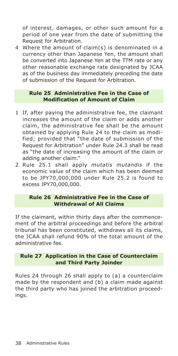<span id="page-43-0"></span>of interest, damages, or other such amount for a period of one year from the date of submitting the Request for Arbitration.

4 Where the amount of claim(s) is denominated in a currency other than Japanese Yen, the amount shall be converted into Japanese Yen at the TTM rate or any other reasonable exchange rate designated by JCAA as of the business day immediately preceding the date of submission of the Request for Arbitration.

# **Rule 25 Administrative Fee in the Case of Modification of Amount of Claim**

- 1 If, after paying the administrative fee, the claimant increases the amount of the claim or adds another claim, the administrative fee shall be the amount obtained by applying Rule 24 to the claim as modified; provided that "the date of submission of the Request for Arbitration" under Rule 24.3 shall be read as "the date of increasing the amount of the claim or adding another claim."
- 2 Rule 25.1 shall apply *mutatis mutandis* if the economic value of the claim which has been deemed to be JPY70,000,000 under Rule 25.2 is found to excess JPY70,000,000.

# **Rule 26 Administrative Fee in the Case of Withdrawal of All Claims**

If the claimant, within thirty days after the commencement of the arbitral proceedings and before the arbitral tribunal has been constituted, withdraws all its claims, the JCAA shall refund 90% of the total amount of the administrative fee.

# **Rule 27 Application in the Case of Counterclaim and Third Party Joinder**

Rules 24 through 26 shall apply to (a) a counterclaim made by the respondent and (b) a claim made against the third party who has joined the arbitration proceedings.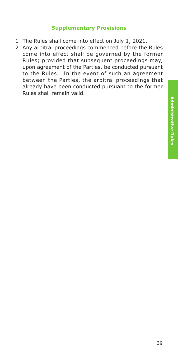# **Supplementary Provisions**

- <span id="page-44-0"></span>1 The Rules shall come into effect on July 1, 2021.
- 2 Any arbitral proceedings commenced before the Rules come into effect shall be governed by the former Rules; provided that subsequent proceedings may, upon agreement of the Parties, be conducted pursuant to the Rules. In the event of such an agreement between the Parties, the arbitral proceedings that already have been conducted pursuant to the former Rules shall remain valid.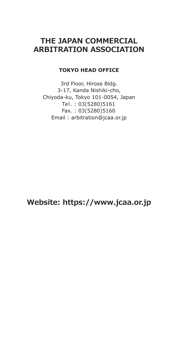# **THE JAPAN COMMERCIAL ARBITRATION ASSOCIATION**

#### **TOKYO HEAD OFFICE**

3rd Floor, Hirose Bldg. 3-17, Kanda Nishiki-cho, Chiyoda-ku, Tokyo 101-0054, Japan Tel. : 03(5280)5161 Fax. : 03(5280)5160 Email : arbitration@jcaa.or.jp

# **Website: https://www.jcaa.or.jp**